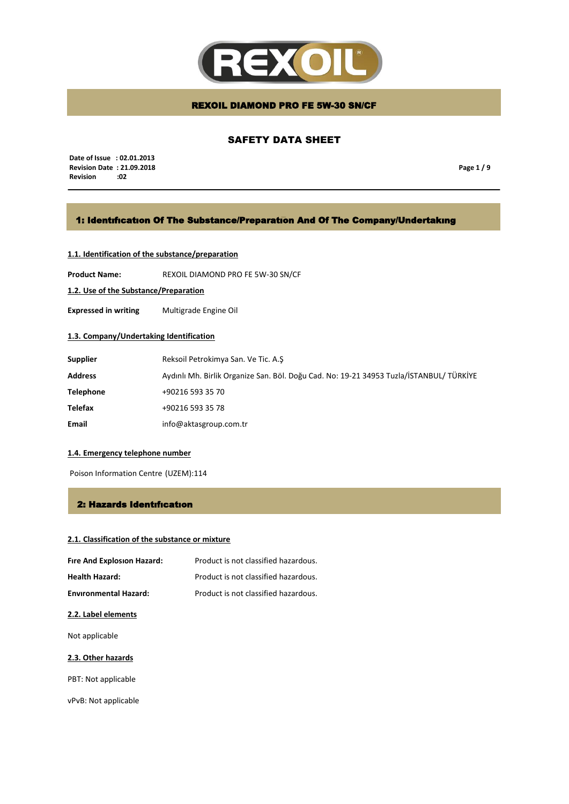

# SAFETY DATA SHEET

 **Date of Issue : 02.01.2013 Revision Date : 21.09.2018 Revision** 

**Page 1 / 9**

## 1: Identıfıcatıon Of The Substance/Preparatıon And Of The Company/Undertakıng

# **1.1. Identification of the substance/preparation**

**Product Name:** REXOIL DIAMOND PRO FE 5W-30 SN/CF

**1.2. Use of the Substance/Preparation**

**Expressed in writing** Multigrade Engine Oil

## **1.3. Company/Undertaking Identification**

| <b>Supplier</b>  | Reksoil Petrokimya San. Ve Tic. A.S                                                     |
|------------------|-----------------------------------------------------------------------------------------|
| <b>Address</b>   | Aydınlı Mh. Birlik Organize San. Böl. Doğu Cad. No: 19-21 34953 Tuzla/İSTANBUL/ TÜRKİYE |
| <b>Telephone</b> | +90216 593 35 70                                                                        |
| <b>Telefax</b>   | +90216 593 35 78                                                                        |
| Email            | info@aktasgroup.com.tr                                                                  |

### **1.4. Emergency telephone number**

Poison Information Centre (UZEM):114

### 2: Hazards Identıfıcatıon

## **2.1. Classification of the substance or mixture**

| Fire And Explosion Hazard:   | Product is not classified hazardous. |
|------------------------------|--------------------------------------|
| <b>Health Hazard:</b>        | Product is not classified hazardous. |
| <b>Environmental Hazard:</b> | Product is not classified hazardous. |

### **2.2. Label elements**

Not applicable

### **2.3. Other hazards**

PBT: Not applicable

vPvB: Not applicable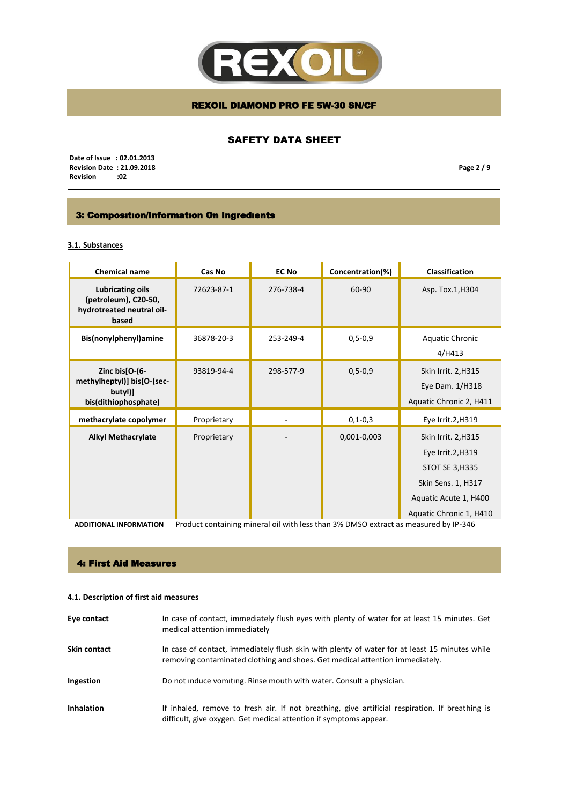

# SAFETY DATA SHEET

 **Date of Issue : 02.01.2013 Revision Date : 21.09.2018 Revision** 

**Page 2 / 9**

# 3: Composıtıon/Informatıon On Ingredıents

# **3.1. Substances**

| Chemical name                                                                   | Cas No                                         | <b>EC No</b>                                            | Concentration(%)         | Classification                                                                                                                               |
|---------------------------------------------------------------------------------|------------------------------------------------|---------------------------------------------------------|--------------------------|----------------------------------------------------------------------------------------------------------------------------------------------|
| Lubricating oils<br>(petroleum), C20-50,<br>hydrotreated neutral oil-<br>based  | 72623-87-1                                     | 276-738-4                                               | 60-90                    | Asp. Tox.1, H304                                                                                                                             |
| Bis(nonylphenyl)amine                                                           | 36878-20-3                                     | 253-249-4                                               | $0, 5 - 0, 9$            | Aquatic Chronic<br>4/H413                                                                                                                    |
| Zinc bis[O-(6-<br>methylheptyl)] bis[O-(sec-<br>butyl)]<br>bis(dithiophosphate) | 93819-94-4                                     | 298-577-9                                               | $0, 5 - 0, 9$            | Skin Irrit. 2, H315<br>Eye Dam. 1/H318<br>Aquatic Chronic 2, H411                                                                            |
| methacrylate copolymer                                                          | Proprietary                                    |                                                         | $0, 1 - 0, 3$            | Eye Irrit.2, H319                                                                                                                            |
| <b>Alkyl Methacrylate</b>                                                       | Proprietary<br>$\cdot$ $\cdot$ $\cdot$ $\cdot$ | <b>The Contract Contract Contract Contract Contract</b> | 0,001-0,003<br>201.73.20 | Skin Irrit. 2, H315<br>Eye Irrit.2, H319<br><b>STOT SE 3, H335</b><br>Skin Sens. 1, H317<br>Aquatic Acute 1, H400<br>Aquatic Chronic 1, H410 |

**ADDITIONAL INFORMATION** Product containing mineral oil with less than 3% DMSO extract as measured by IP-346

### 4: First Aid Measures

### **4.1. Description of first aid measures**

| Eye contact         | In case of contact, immediately flush eyes with plenty of water for at least 15 minutes. Get<br>medical attention immediately                                                 |
|---------------------|-------------------------------------------------------------------------------------------------------------------------------------------------------------------------------|
| <b>Skin contact</b> | In case of contact, immediately flush skin with plenty of water for at least 15 minutes while<br>removing contaminated clothing and shoes. Get medical attention immediately. |
| Ingestion           | Do not induce vomiting. Rinse mouth with water. Consult a physician.                                                                                                          |
| <b>Inhalation</b>   | If inhaled, remove to fresh air. If not breathing, give artificial respiration. If breathing is<br>difficult, give oxygen. Get medical attention if symptoms appear.          |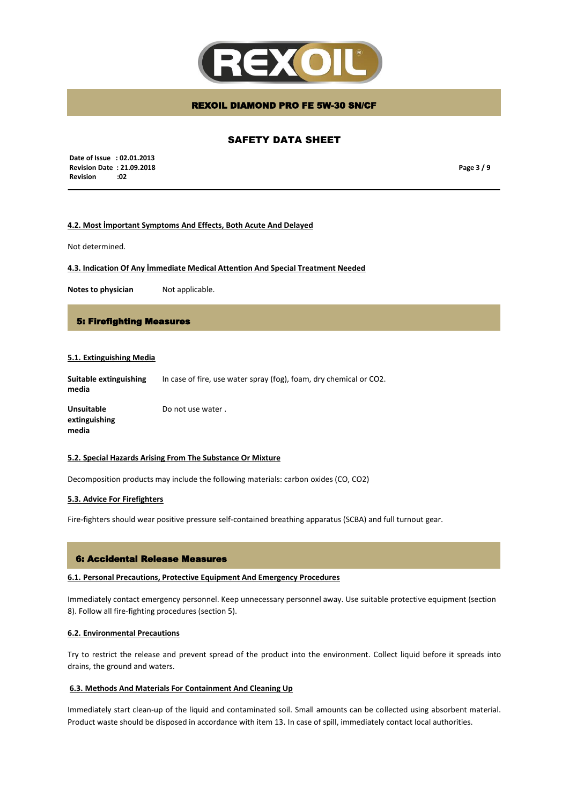

# SAFETY DATA SHEET

 **Date of Issue : 02.01.2013 Revision Date : 21.09.2018 Revision :02**

**Page 3 / 9**

### **4.2. Most İmportant Symptoms And Effects, Both Acute And Delayed**

Not determined.

**4.3. Indication Of Any İmmediate Medical Attention And Special Treatment Needed**

**Notes to physician** Not applicable.

# 5: Firefighting Measures

### **5.1. Extinguishing Media**

**Suitable extinguishing media** In case of fire, use water spray (fog), foam, dry chemical or CO2.

**Unsuitable extinguishing media** Do not use water .

#### **5.2. Special Hazards Arising From The Substance Or Mixture**

Decomposition products may include the following materials: carbon oxides (CO, CO2)

### **5.3. Advice For Firefighters**

Fire-fighters should wear positive pressure self-contained breathing apparatus (SCBA) and full turnout gear.

### 6: Accidental Release Measures

#### **6.1. Personal Precautions, Protective Equipment And Emergency Procedures**

Immediately contact emergency personnel. Keep unnecessary personnel away. Use suitable protective equipment (section 8). Follow all fire-fighting procedures (section 5).

### **6.2. Environmental Precautions**

Try to restrict the release and prevent spread of the product into the environment. Collect liquid before it spreads into drains, the ground and waters.

#### **6.3. Methods And Materials For Containment And Cleaning Up**

Immediately start clean-up of the liquid and contaminated soil. Small amounts can be collected using absorbent material. Product waste should be disposed in accordance with item 13. In case of spill, immediately contact local authorities.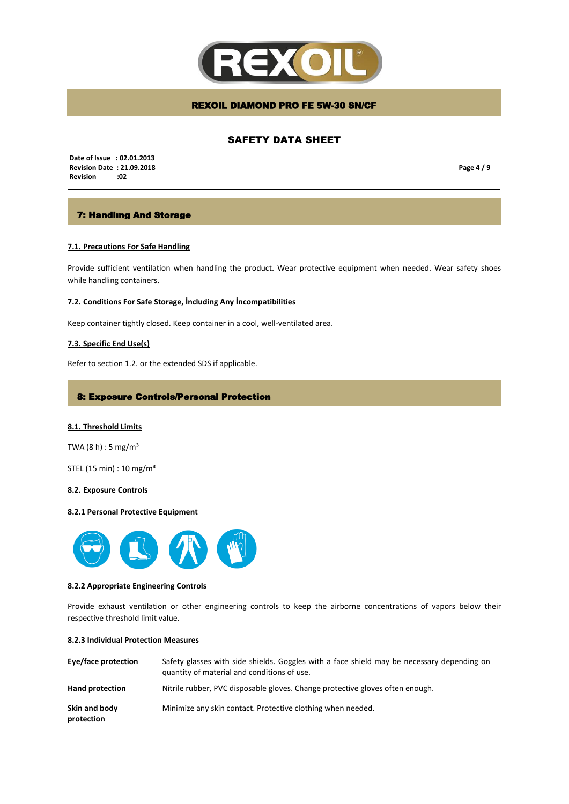

# SAFETY DATA SHEET

 **Date of Issue : 02.01.2013 Revision Date : 21.09.2018 Revision :02**

**Page 4 / 9**

# 7: Handlıng And Storage

### **7.1. Precautions For Safe Handling**

Provide sufficient ventilation when handling the product. Wear protective equipment when needed. Wear safety shoes while handling containers.

#### **7.2. Conditions For Safe Storage, İncluding Any İncompatibilities**

Keep container tightly closed. Keep container in a cool, well-ventilated area.

#### **7.3. Specific End Use(s)**

Refer to section 1.2. or the extended SDS if applicable.

### 8: Exposure Controls/Personal Protection

#### **8.1. Threshold Limits**

TWA  $(8 h) : 5 mg/m<sup>3</sup>$ 

STEL (15 min) : 10 mg/m³

#### **8.2. Exposure Controls**

#### **8.2.1 Personal Protective Equipment**



#### **8.2.2 Appropriate Engineering Controls**

Provide exhaust ventilation or other engineering controls to keep the airborne concentrations of vapors below their respective threshold limit value.

#### **8.2.3 Individual Protection Measures**

| Eye/face protection         | Safety glasses with side shields. Goggles with a face shield may be necessary depending on<br>quantity of material and conditions of use. |
|-----------------------------|-------------------------------------------------------------------------------------------------------------------------------------------|
| <b>Hand protection</b>      | Nitrile rubber, PVC disposable gloves. Change protective gloves often enough.                                                             |
| Skin and body<br>protection | Minimize any skin contact. Protective clothing when needed.                                                                               |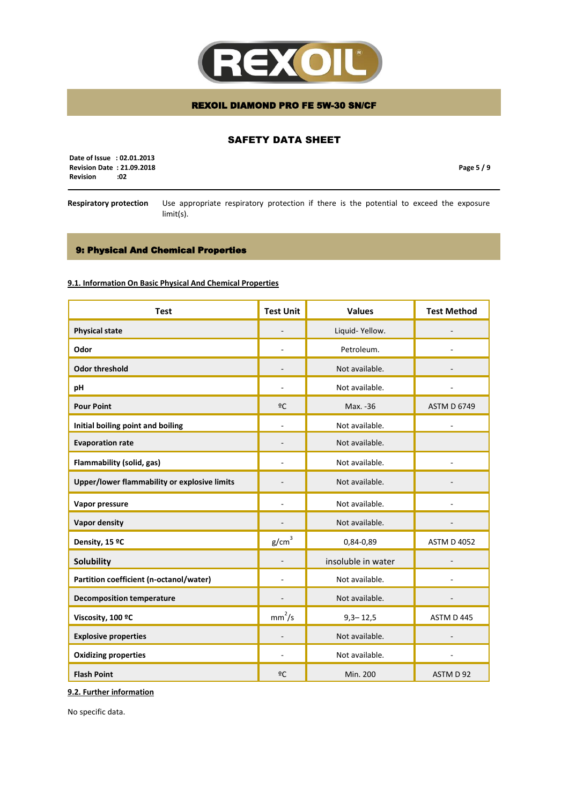

# SAFETY DATA SHEET

 **Date of Issue : 02.01.2013 Revision Date : 21.09.2018 Revision** 

**Page 5 / 9**

**Respiratory protection** Use appropriate respiratory protection if there is the potential to exceed the exposure limit(s).

# 9: Physical And Chemical Properties

### **9.1. Information On Basic Physical And Chemical Properties**

| <b>Test</b>                                  | <b>Test Unit</b>   | <b>Values</b>      | <b>Test Method</b> |
|----------------------------------------------|--------------------|--------------------|--------------------|
| <b>Physical state</b>                        |                    | Liquid-Yellow.     |                    |
| Odor                                         |                    | Petroleum.         |                    |
| <b>Odor threshold</b>                        |                    | Not available.     |                    |
| рH                                           |                    | Not available.     |                    |
| <b>Pour Point</b>                            | ºC                 | Max. -36           | <b>ASTM D 6749</b> |
| Initial boiling point and boiling            |                    | Not available.     |                    |
| <b>Evaporation rate</b>                      |                    | Not available.     |                    |
| Flammability (solid, gas)                    |                    | Not available.     |                    |
| Upper/lower flammability or explosive limits |                    | Not available.     |                    |
| Vapor pressure                               |                    | Not available.     |                    |
| <b>Vapor density</b>                         |                    | Not available.     |                    |
| Density, 15 °C                               | g/cm <sup>3</sup>  | 0,84-0,89          | <b>ASTM D 4052</b> |
| Solubility                                   |                    | insoluble in water |                    |
| Partition coefficient (n-octanol/water)      |                    | Not available.     |                    |
| <b>Decomposition temperature</b>             |                    | Not available.     |                    |
| Viscosity, 100 °C                            | mm <sup>2</sup> /s | $9,3 - 12,5$       | ASTM D 445         |
| <b>Explosive properties</b>                  |                    | Not available.     |                    |
| <b>Oxidizing properties</b>                  | ÷                  | Not available.     |                    |
| <b>Flash Point</b>                           | ºC                 | Min. 200           | ASTM D 92          |

**9.2. Further information**

No specific data.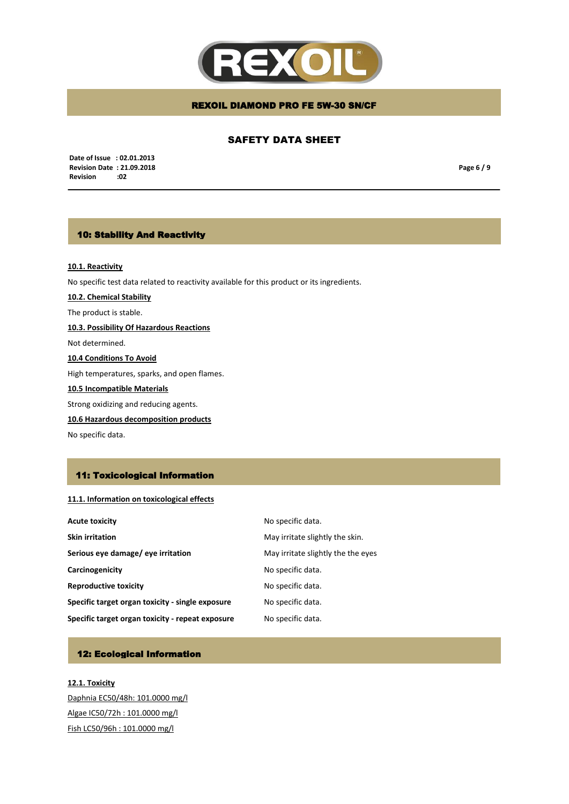

## SAFETY DATA SHEET

 **Date of Issue : 02.01.2013 Revision Date : 21.09.2018 Revision** 

**Page 6 / 9**

# 10: Stability And Reactivity

### **10.1. Reactivity**

No specific test data related to reactivity available for this product or its ingredients.

**10.2. Chemical Stability**

The product is stable.

**10.3. Possibility Of Hazardous Reactions**

Not determined.

**10.4 Conditions To Avoid**

High temperatures, sparks, and open flames.

### **10.5 Incompatible Materials**

Strong oxidizing and reducing agents.

**10.6 Hazardous decomposition products**

No specific data.

# 11: Toxicological Information

## **11.1. Information on toxicological effects**

| Acute toxicity                                   | No specific data.                  |
|--------------------------------------------------|------------------------------------|
| Skin irritation                                  | May irritate slightly the skin.    |
| Serious eye damage/ eye irritation               | May irritate slightly the the eyes |
| Carcinogenicity                                  | No specific data.                  |
| <b>Reproductive toxicity</b>                     | No specific data.                  |
| Specific target organ toxicity - single exposure | No specific data.                  |
| Specific target organ toxicity - repeat exposure | No specific data.                  |

# 12: Ecological Information

**12.1. Toxicity** Daphnia EC50/48h: 101.0000 mg/l Algae IC50/72h : 101.0000 mg/l Fish LC50/96h : 101.0000 mg/l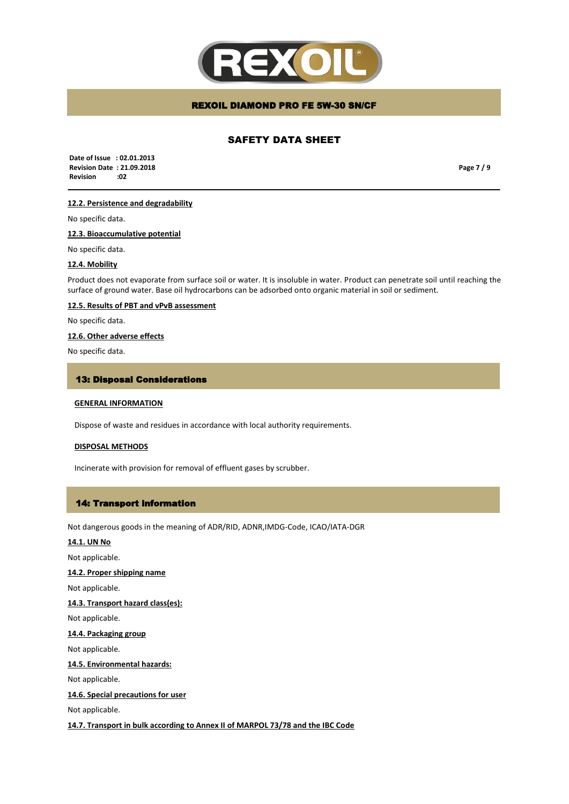

## SAFETY DATA SHEET

 **Date of Issue : 02.01.2013 Revision Date : 21.09.2018 Revision :02**

**Page 7 / 9**

# **12.2. Persistence and degradability**

No specific data.

**12.3. Bioaccumulative potential**

No specific data.

#### **12.4. Mobility**

Product does not evaporate from surface soil or water. It is insoluble in water. Product can penetrate soil until reaching the surface of ground water. Base oil hydrocarbons can be adsorbed onto organic material in soil or sediment.

# **12.5. Results of PBT and vPvB assessment**

No specific data.

### **12.6. Other adverse effects**

No specific data.

#### 13: Disposal Considerations

## **GENERAL INFORMATION**

Dispose of waste and residues in accordance with local authority requirements.

#### **DISPOSAL METHODS**

Incinerate with provision for removal of effluent gases by scrubber.

#### 14: Transport information

Not dangerous goods in the meaning of ADR/RID, ADNR,IMDG-Code, ICAO/IATA-DGR

### **14.1. UN No**

Not applicable.

### **14.2. Proper shipping name**

Not applicable.

### **14.3. Transport hazard class(es):**

Not applicable.

**14.4. Packaging group** 

Not applicable.

### **14.5. Environmental hazards:**

Not applicable.

### **14.6. Special precautions for user**

Not applicable.

**14.7. Transport in bulk according to Annex II of MARPOL 73/78 and the IBC Code**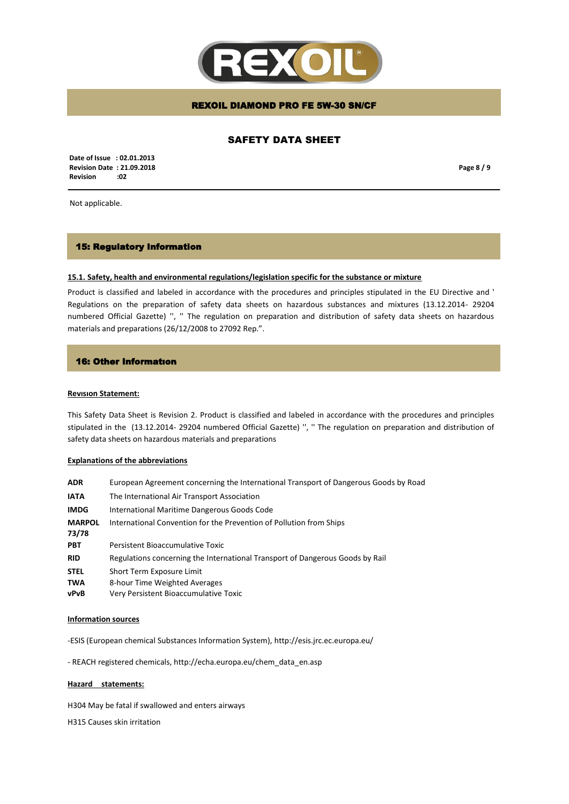

# SAFETY DATA SHEET

 **Date of Issue : 02.01.2013 Revision Date : 21.09.2018 Revision :02**

**Page 8 / 9**

Not applicable.

### 15: Regulatory Information

#### **15.1. Safety, health and environmental regulations/legislation specific for the substance or mixture**

Product is classified and labeled in accordance with the procedures and principles stipulated in the EU Directive and ' Regulations on the preparation of safety data sheets on hazardous substances and mixtures (13.12.2014- 29204 numbered Official Gazette) '', '' The regulation on preparation and distribution of safety data sheets on hazardous materials and preparations (26/12/2008 to 27092 Rep.".

### 16: Other Informatıon

#### **Revısıon Statement:**

This Safety Data Sheet is Revision 2. Product is classified and labeled in accordance with the procedures and principles stipulated in the (13.12.2014- 29204 numbered Official Gazette) '', '' The regulation on preparation and distribution of safety data sheets on hazardous materials and preparations

#### **Explanations of the abbreviations**

| <b>ADR</b>                 | European Agreement concerning the International Transport of Dangerous Goods by Road                |
|----------------------------|-----------------------------------------------------------------------------------------------------|
| <b>IATA</b>                | The International Air Transport Association                                                         |
| <b>IMDG</b>                | International Maritime Dangerous Goods Code                                                         |
| <b>MARPOL</b><br>73/78     | International Convention for the Prevention of Pollution from Ships                                 |
| <b>PBT</b>                 | Persistent Bioaccumulative Toxic                                                                    |
| <b>RID</b>                 | Regulations concerning the International Transport of Dangerous Goods by Rail                       |
| <b>STEL</b><br>TWA<br>vPvB | Short Term Exposure Limit<br>8-hour Time Weighted Averages<br>Very Persistent Bioaccumulative Toxic |

#### **Information sources**

-ESIS (European chemical Substances Information System), http://esis.jrc.ec.europa.eu/

- REACH registered chemicals, http://echa.europa.eu/chem\_data\_en.asp

### **Hazard statements:**

H304 May be fatal if swallowed and enters airways

H315 Causes skin irritation